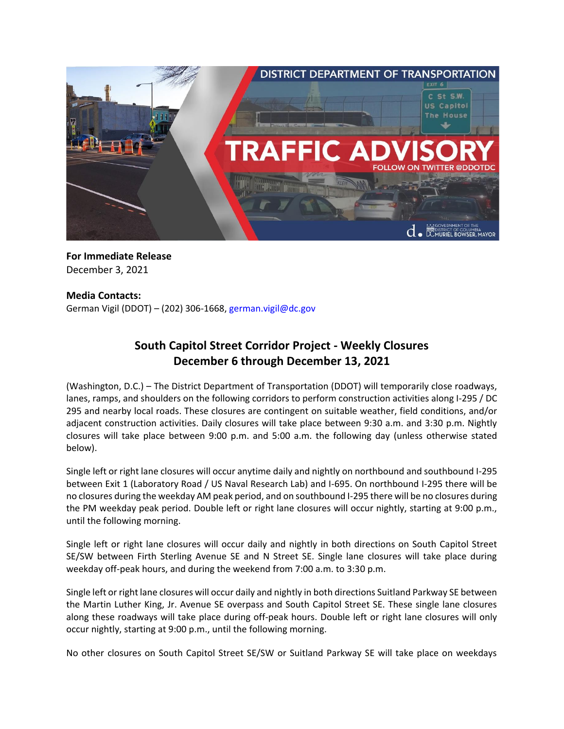

**For Immediate Release** December 3, 2021

# **Media Contacts:**

German Vigil (DDOT) – (202) 306-1668, [german.vigil@dc.gov](mailto:german.vigil@dc.gov)

# **South Capitol Street Corridor Project - Weekly Closures December 6 through December 13, 2021**

(Washington, D.C.) – The District Department of Transportation (DDOT) will temporarily close roadways, lanes, ramps, and shoulders on the following corridors to perform construction activities along I-295 / DC 295 and nearby local roads. These closures are contingent on suitable weather, field conditions, and/or adjacent construction activities. Daily closures will take place between 9:30 a.m. and 3:30 p.m. Nightly closures will take place between 9:00 p.m. and 5:00 a.m. the following day (unless otherwise stated below).

Single left or right lane closures will occur anytime daily and nightly on northbound and southbound I-295 between Exit 1 (Laboratory Road / US Naval Research Lab) and I-695. On northbound I-295 there will be no closures during the weekday AM peak period, and on southbound I-295 there will be no closures during the PM weekday peak period. Double left or right lane closures will occur nightly, starting at 9:00 p.m., until the following morning.

Single left or right lane closures will occur daily and nightly in both directions on South Capitol Street SE/SW between Firth Sterling Avenue SE and N Street SE. Single lane closures will take place during weekday off-peak hours, and during the weekend from 7:00 a.m. to 3:30 p.m.

Single left or right lane closures will occur daily and nightly in both directions Suitland Parkway SE between the Martin Luther King, Jr. Avenue SE overpass and South Capitol Street SE. These single lane closures along these roadways will take place during off-peak hours. Double left or right lane closures will only occur nightly, starting at 9:00 p.m., until the following morning.

No other closures on South Capitol Street SE/SW or Suitland Parkway SE will take place on weekdays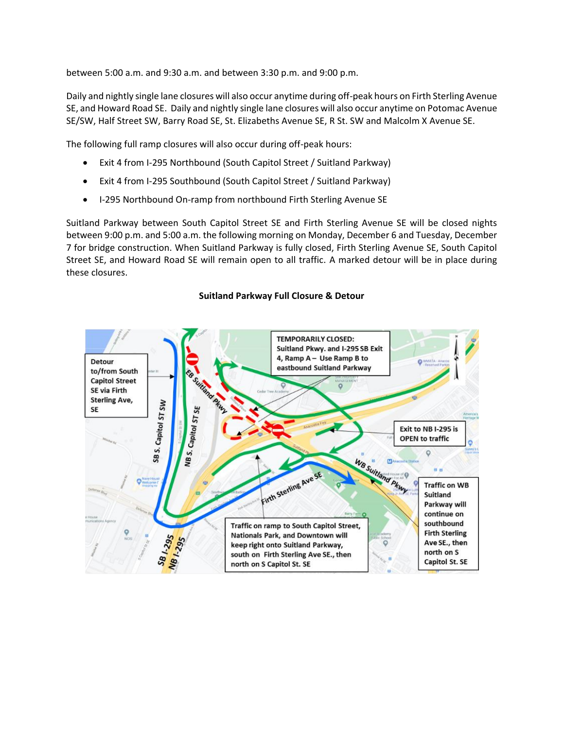between 5:00 a.m. and 9:30 a.m. and between 3:30 p.m. and 9:00 p.m.

Daily and nightly single lane closures will also occur anytime during off-peak hours on Firth Sterling Avenue SE, and Howard Road SE. Daily and nightly single lane closures will also occur anytime on Potomac Avenue SE/SW, Half Street SW, Barry Road SE, St. Elizabeths Avenue SE, R St. SW and Malcolm X Avenue SE.

The following full ramp closures will also occur during off-peak hours:

- Exit 4 from I-295 Northbound (South Capitol Street / Suitland Parkway)
- Exit 4 from I-295 Southbound (South Capitol Street / Suitland Parkway)
- I-295 Northbound On-ramp from northbound Firth Sterling Avenue SE

Suitland Parkway between South Capitol Street SE and Firth Sterling Avenue SE will be closed nights between 9:00 p.m. and 5:00 a.m. the following morning on Monday, December 6 and Tuesday, December 7 for bridge construction. When Suitland Parkway is fully closed, Firth Sterling Avenue SE, South Capitol Street SE, and Howard Road SE will remain open to all traffic. A marked detour will be in place during these closures.

#### **TEMPORARILY CLOSED:** Suitland Pkwy. and I-295 SB Exit 4, Ramp A - Use Ramp B to Detour eastbound Suitland Parkway to/from South **Capitol Street** SE via Firth **Sterling Ave,** SB S. Capitol ST SW NB S. Capitol ST SE SE Exit to NB I-295 is **OPEN to traffic**  $\ddot{\mathbf{Q}}$ WB Suitland Pitwy Firth Sterling Ave SE **Traffic on WB** Suitland Parkway will continue on southbound Traffic on ramp to South Capitol Street, SB1-295 **Firth Sterling** NB1-295 Nationals Park, and Downtown will Ave SE., then keep right onto Suitland Parkway, north on S south on Firth Sterling Ave SE., then Capitol St. SE north on S Capitol St. SE

#### **Suitland Parkway Full Closure & Detour**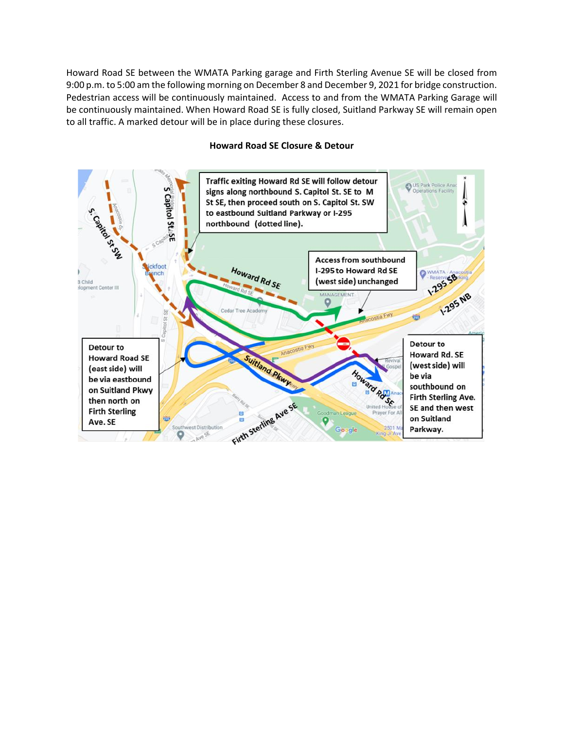Howard Road SE between the WMATA Parking garage and Firth Sterling Avenue SE will be closed from 9:00 p.m. to 5:00 am the following morning on December 8 and December 9, 2021 for bridge construction. Pedestrian access will be continuously maintained. Access to and from the WMATA Parking Garage will be continuously maintained. When Howard Road SE is fully closed, Suitland Parkway SE will remain open to all traffic. A marked detour will be in place during these closures.



## **Howard Road SE Closure & Detour**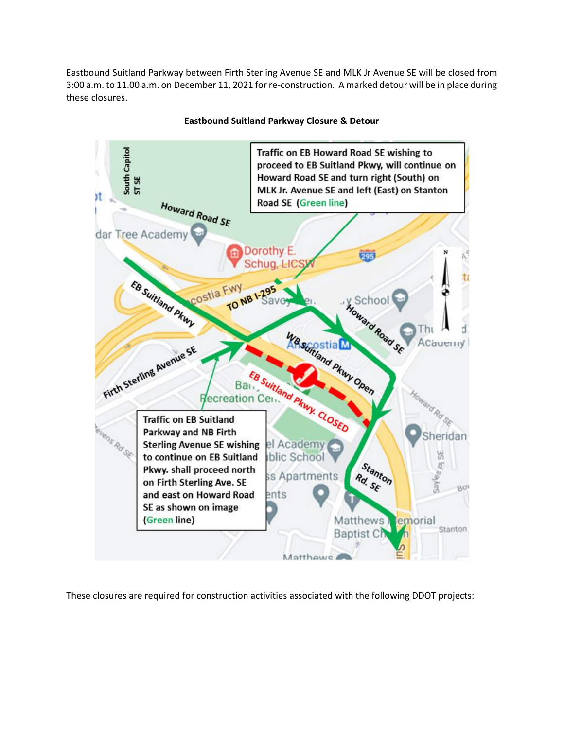Eastbound Suitland Parkway between Firth Sterling Avenue SE and MLK Jr Avenue SE will be closed from 3:00 a.m. to 11.00 a.m. on December 11, 2021 for re-construction. A marked detour will be in place during these closures.



# **Eastbound Suitland Parkway Closure & Detour**

These closures are required for construction activities associated with the following DDOT projects: